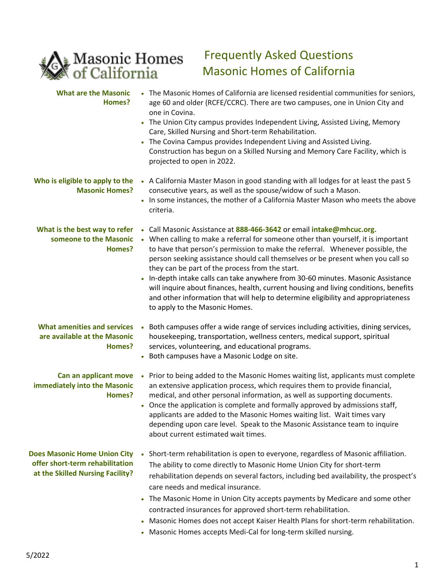

## Frequently Asked Questions Masonic Homes of California

| <b>What are the Masonic</b><br>Homes?                                                                      | • The Masonic Homes of California are licensed residential communities for seniors,<br>age 60 and older (RCFE/CCRC). There are two campuses, one in Union City and<br>one in Covina.<br>• The Union City campus provides Independent Living, Assisted Living, Memory<br>Care, Skilled Nursing and Short-term Rehabilitation.<br>The Covina Campus provides Independent Living and Assisted Living.<br>Construction has begun on a Skilled Nursing and Memory Care Facility, which is<br>projected to open in 2022.                                                                                                                                                               |
|------------------------------------------------------------------------------------------------------------|----------------------------------------------------------------------------------------------------------------------------------------------------------------------------------------------------------------------------------------------------------------------------------------------------------------------------------------------------------------------------------------------------------------------------------------------------------------------------------------------------------------------------------------------------------------------------------------------------------------------------------------------------------------------------------|
| Who is eligible to apply to the<br><b>Masonic Homes?</b>                                                   | • A California Master Mason in good standing with all lodges for at least the past 5<br>consecutive years, as well as the spouse/widow of such a Mason.<br>. In some instances, the mother of a California Master Mason who meets the above<br>criteria.                                                                                                                                                                                                                                                                                                                                                                                                                         |
| What is the best way to refer<br>someone to the Masonic<br>Homes?                                          | Call Masonic Assistance at 888-466-3642 or email intake@mhcuc.org.<br>• When calling to make a referral for someone other than yourself, it is important<br>to have that person's permission to make the referral. Whenever possible, the<br>person seeking assistance should call themselves or be present when you call so<br>they can be part of the process from the start.<br>In-depth intake calls can take anywhere from 30-60 minutes. Masonic Assistance<br>will inquire about finances, health, current housing and living conditions, benefits<br>and other information that will help to determine eligibility and appropriateness<br>to apply to the Masonic Homes. |
| <b>What amenities and services</b><br>are available at the Masonic<br>Homes?                               | Both campuses offer a wide range of services including activities, dining services,<br>housekeeping, transportation, wellness centers, medical support, spiritual<br>services, volunteering, and educational programs.<br>• Both campuses have a Masonic Lodge on site.                                                                                                                                                                                                                                                                                                                                                                                                          |
| Can an applicant move<br>immediately into the Masonic<br>Homes?                                            | Prior to being added to the Masonic Homes waiting list, applicants must complete<br>$\bullet$<br>an extensive application process, which requires them to provide financial,<br>medical, and other personal information, as well as supporting documents.<br>• Once the application is complete and formally approved by admissions staff,<br>applicants are added to the Masonic Homes waiting list. Wait times vary<br>depending upon care level. Speak to the Masonic Assistance team to inquire<br>about current estimated wait times.                                                                                                                                       |
| <b>Does Masonic Home Union City</b><br>offer short-term rehabilitation<br>at the Skilled Nursing Facility? | Short-term rehabilitation is open to everyone, regardless of Masonic affiliation.<br>The ability to come directly to Masonic Home Union City for short-term<br>rehabilitation depends on several factors, including bed availability, the prospect's<br>care needs and medical insurance.<br>The Masonic Home in Union City accepts payments by Medicare and some other<br>contracted insurances for approved short-term rehabilitation.<br>Masonic Homes does not accept Kaiser Health Plans for short-term rehabilitation.<br>Masonic Homes accepts Medi-Cal for long-term skilled nursing.                                                                                    |